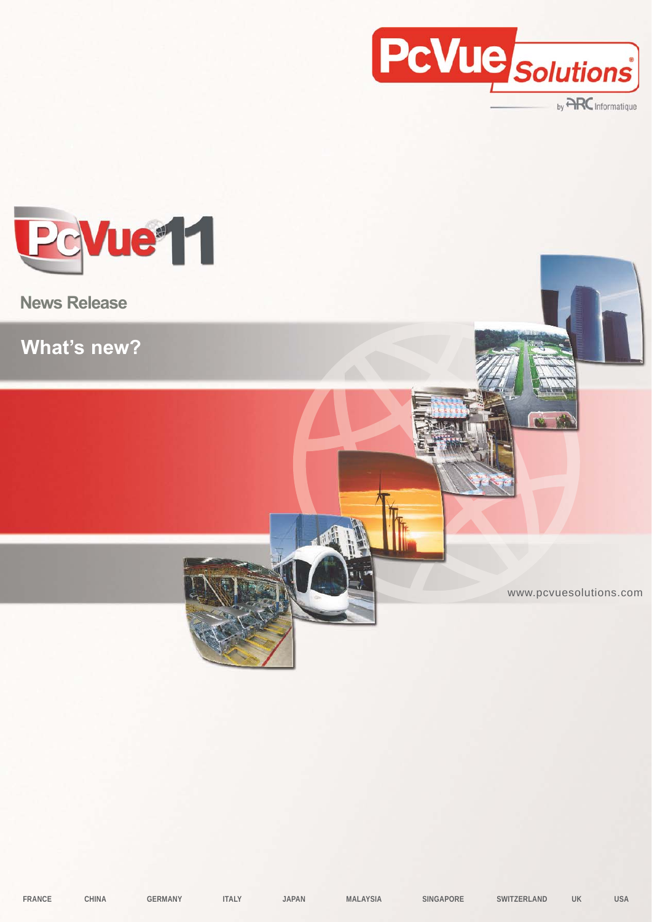

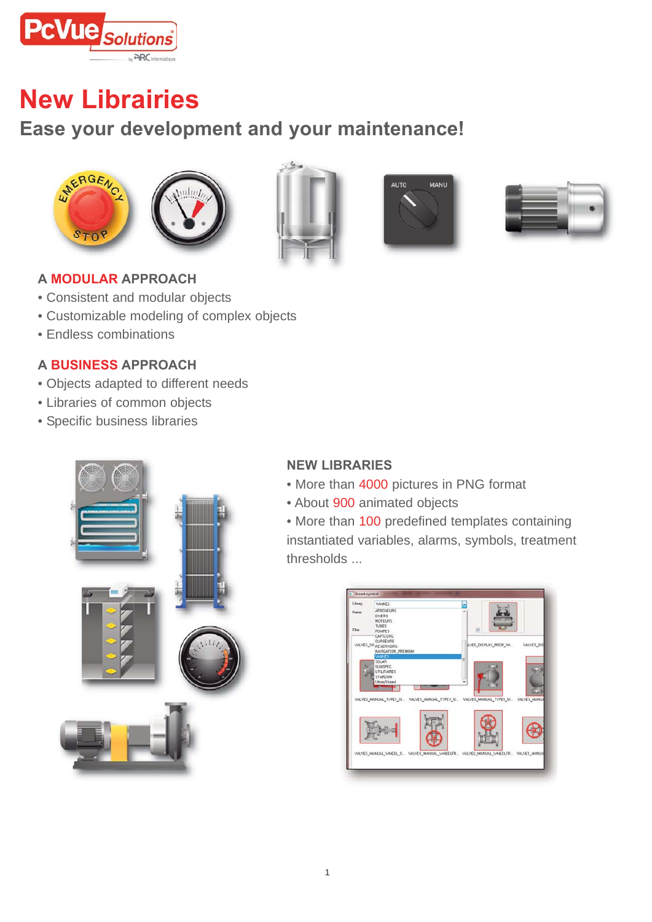

## **New Librairies**

### **Ease your development and your maintenance!**











#### **A MODULAR APPROACH**

- Consistent and modular objects
- Customizable modeling of complex objects
- Endless combinations

#### **A BUSINESS APPROACH**

- Objects adapted to different needs
- Libraries of common objects
- Specific business libraries



### **NEW LIBRARIES**

- More than 4000 pictures in PNG format
- About 900 animated objects

• More than 100 predefined templates containing instantiated variables, alarms, symbols, treatment thresholds ...

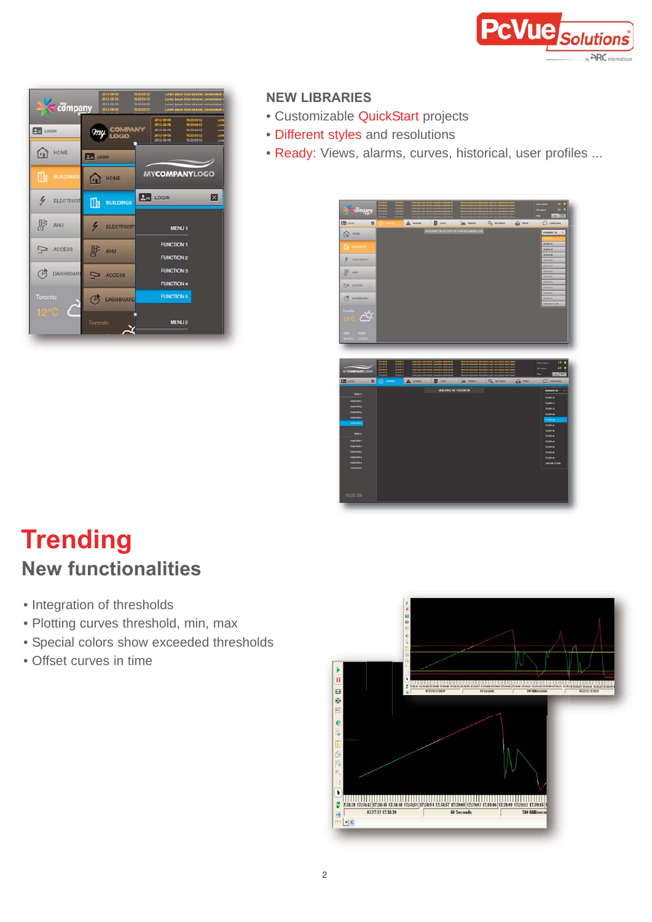

| $\leq$ company          | 18,300612<br>2012-00-06<br>2012-08-06<br>16200412<br>18000812<br>2013-05-01<br>16200912<br>2013-00-01 | Lorent gauer door ut arret, consecteurs<br>Lurem boum dolor of amet, convec-<br>Linwin gauge dator of artest, convectistuer<br>Loren journ door st anvit, consectioners |                                                                                          |
|-------------------------|-------------------------------------------------------------------------------------------------------|-------------------------------------------------------------------------------------------------------------------------------------------------------------------------|------------------------------------------------------------------------------------------|
| <b>DE LOGIN</b>         | COMPANY<br>LOGO<br>my                                                                                 | 2012-08-08<br>18200512<br>2013-09-06<br>2012-00-08<br>2012-00-06<br>2012-00-08                                                                                          | 1620-0n 12<br>Lore<br>Lore<br>16200n12<br>Lore<br>18200912<br>Liam<br>16/2005.12<br>Lore |
| HOME<br>ŀп              | <b>PH</b> LOGIN                                                                                       |                                                                                                                                                                         |                                                                                          |
| lih<br><b>BUILDINGS</b> | <b>HOME</b><br>íп                                                                                     | <b>MYCOMPANYLOGO</b>                                                                                                                                                    |                                                                                          |
| ヶ<br><b>ELECTRICIT</b>  | Œ<br><b>BUILDINGS</b>                                                                                 | $L =$ LOGIN                                                                                                                                                             | ⊠                                                                                        |
| AHU                     | <b>ELECTRICITY</b>                                                                                    | <b>MENU1</b>                                                                                                                                                            |                                                                                          |
| <b>ACCESS</b>           | AHU                                                                                                   | <b>FUNCTION 1</b><br><b>FUNCTION 2</b>                                                                                                                                  |                                                                                          |
| <b>DASHBOAR</b>         | $\overline{ }$<br><b>ACCESS</b>                                                                       | <b>FUNCTION 3</b><br><b>FUNCTION 4</b>                                                                                                                                  |                                                                                          |
| Toronto                 | <b>DASHBOARD</b>                                                                                      | <b>FUNCTION 5</b>                                                                                                                                                       |                                                                                          |
| $12^{\circ}$ C          | Toronto                                                                                               | MFNU <sub>2</sub>                                                                                                                                                       |                                                                                          |

### **NEW LIBRARIES**

- Customizable QuickStart projects
- Different styles and resolutions
- Ready: Views, alarms, curves, historical, user profiles ...



## **Trending New functionalities**

- Integration of thresholds
- Plotting curves threshold, min, max
- Special colors show exceeded thresholds
- Offset curves in time

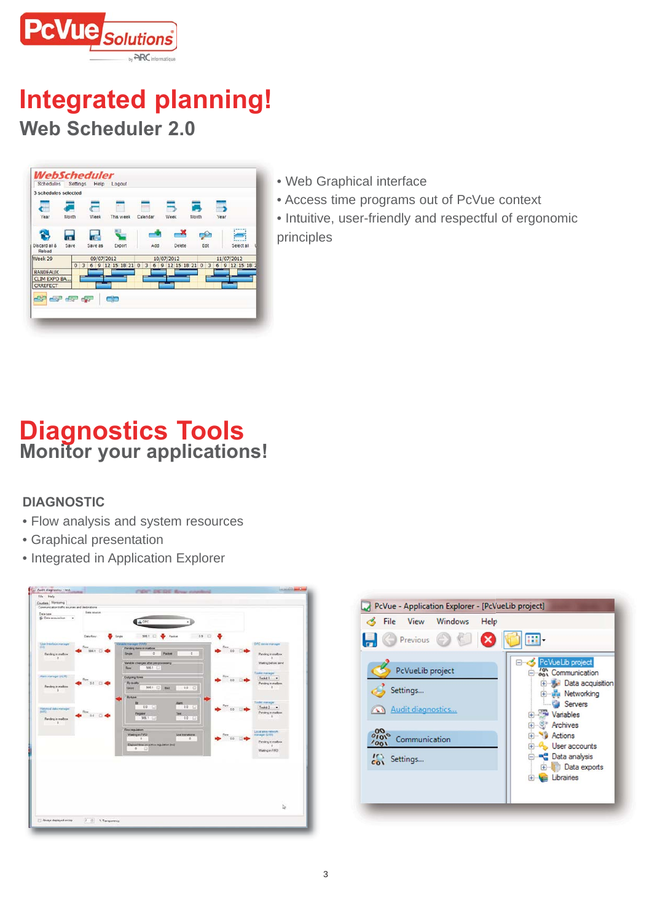

## **Integrated planning! Web Scheduler 2.0**



- Web Graphical interface
- Access time programs out of PcVue context
- Intuitive, user-friendly and respectful of ergonomic principles

### **Diagnostics Tools Monitor your applications!**

### **DIAGNOSTIC**

- Flow analysis and system resources
- Graphical presentation
- Integrated in Application Explorer



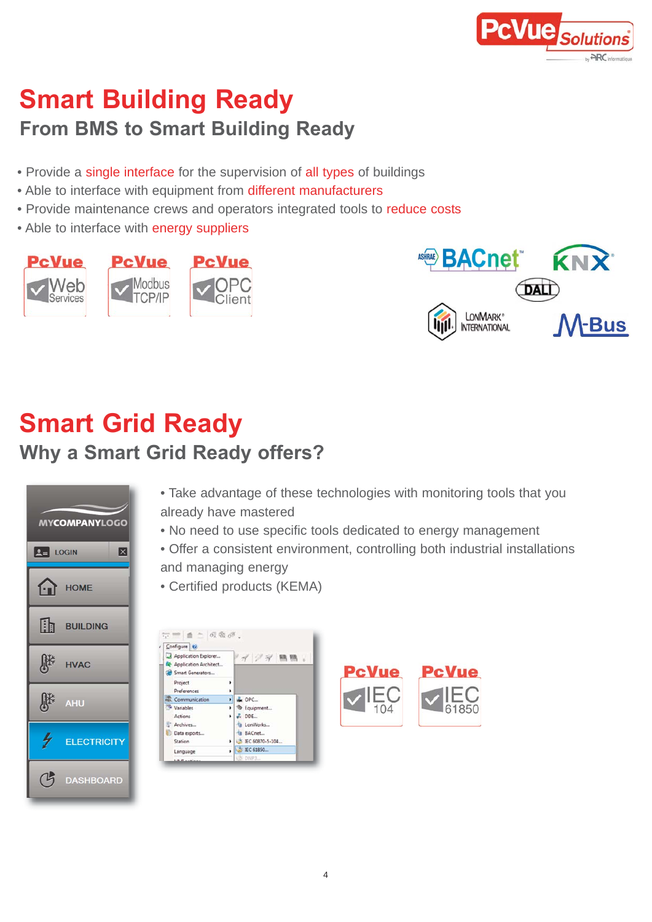

## **Smart Building Ready From BMS to Smart Building Ready**

- Provide a single interface for the supervision of all types of buildings
- Able to interface with equipment from different manufacturers
- Provide maintenance crews and operators integrated tools to reduce costs
- Able to interface with energy suppliers





# **Smart Grid Ready**

### **Why a Smart Grid Ready offers?**



• Take advantage of these technologies with monitoring tools that you already have mastered

• No need to use specific tools dedicated to energy management

• Offer a consistent environment, controlling both industrial installations and managing energy

• Certified products (KEMA)

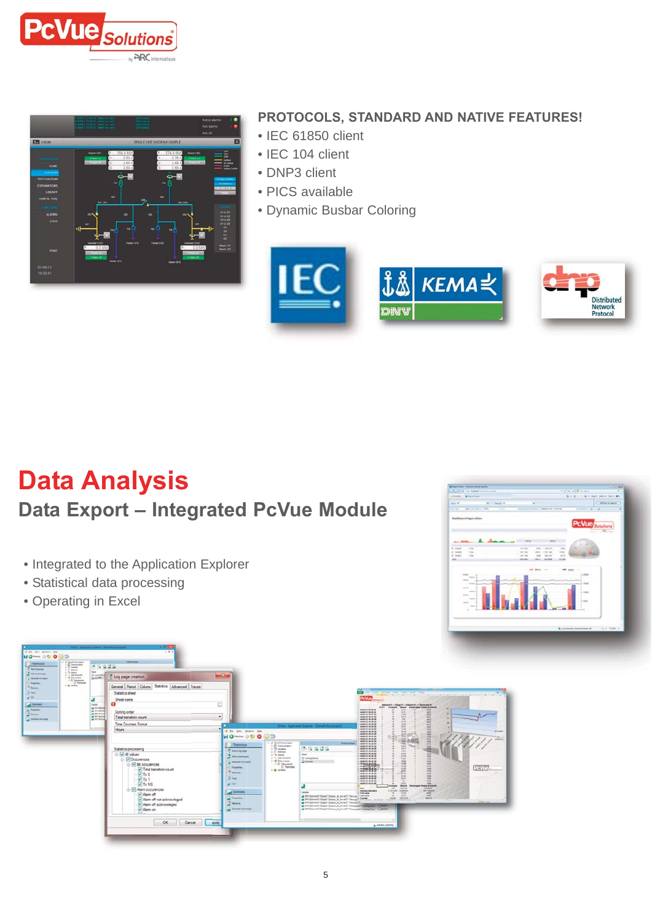



### **PROTOCOLS, STANDARD AND NATIVE FEATURES!**

- IEC 61850 client
- IEC 104 client
- DNP3 client
- PICS available
- Dynamic Busbar Coloring



## **Data Analysis Data Export – Integrated PcVue Module**

- Integrated to the Application Explorer
- Statistical data processing
- Operating in Excel



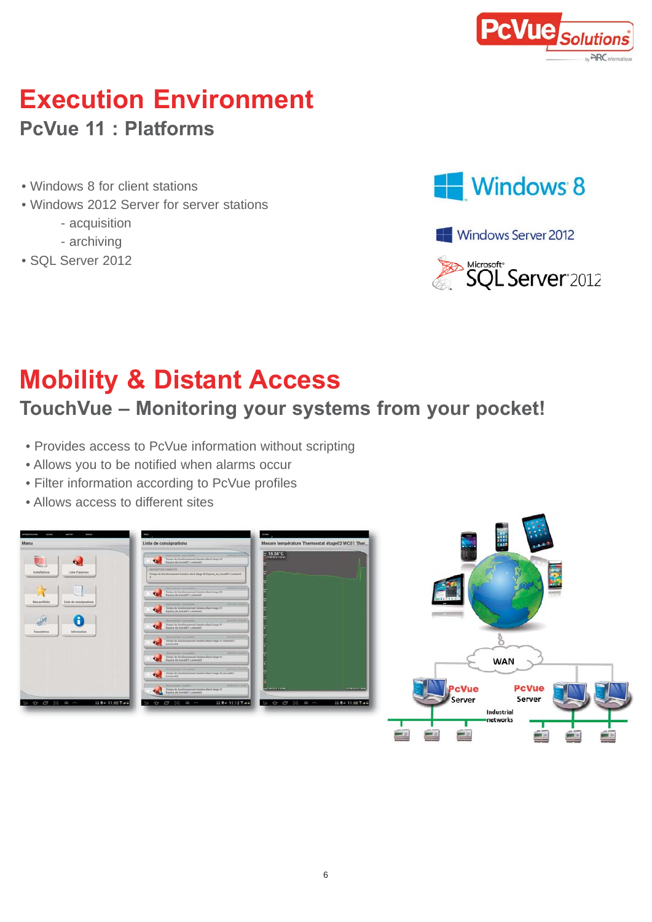

## **Execution Environment PcVue 11 : Platforms**

- Windows 8 for client stations
- Windows 2012 Server for server stations
	- acquisition
	- archiving
- SQL Server 2012







# **Mobility & Distant Access**

## **TouchVue – Monitoring your systems from your pocket!**

- Provides access to PcVue information without scripting
- Allows you to be notified when alarms occur
- Filter information according to PcVue profiles
- Allows access to different sites